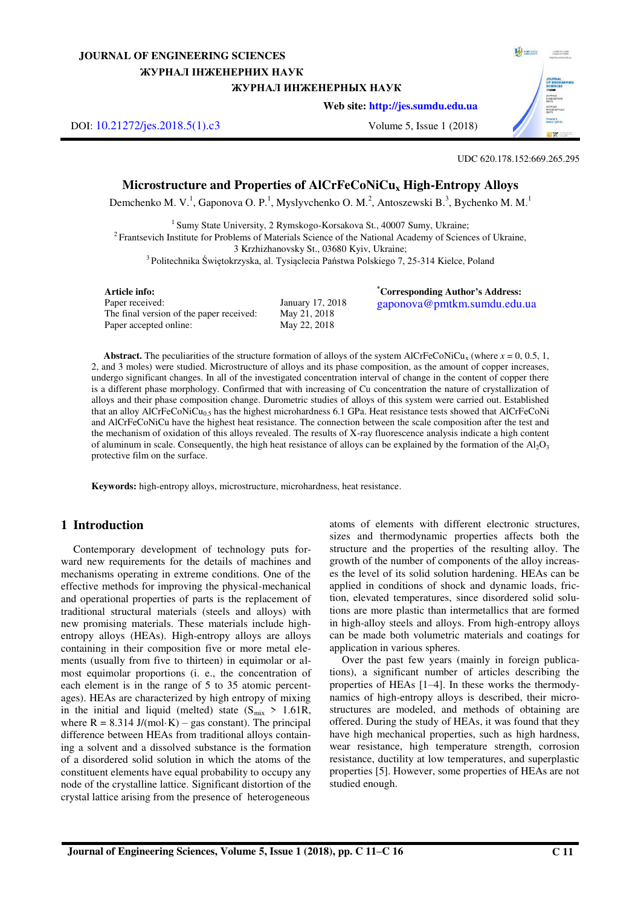# **JOURNAL OF ENGINEERING SCIENCES**  ЖУРНАЛ ІНЖЕНЕРНИХ НАУК ЖУРНАЛ ИНЖЕНЕРНЫХ НАУК

**Web site: [http://jes.sumdu.edu.ua](http://jes.sumdu.edu.ua/)**

DOI: [10.21272/jes.2018.5\(1\).c3](https://doi.org/10.21272/jes.2018.5(1).c3) Volume 5, Issue 1 (2018)

UDC 620.178.152:669.265.295

# **Microstructure and Properties of AlCrFeCoNiCux High-Entropy Alloys**

Demchenko M. V.<sup>1</sup>, Gaponova O. P.<sup>1</sup>, Myslyvchenko O. M.<sup>2</sup>, Antoszewski B.<sup>3</sup>, Bychenko M. M.<sup>1</sup>

<sup>1</sup> Sumy State University, 2 Rymskogo-Korsakova St., 40007 Sumy, Ukraine; <sup>2</sup>Frantsevich Institute for Problems of Materials Science of the National Academy of Sciences of Ukraine, 3 Krzhizhanovsky St., 03680 Kyiv, Ukraine; <sup>3</sup>Politechnika Świętokrzyska, al. Tysiąclecia Państwa Polskiego 7, 25-314 Kielce, Poland

**Article info:**  Paper received: The final version of the paper received: Paper accepted online:

January 17, 2018 May 21, 2018 May 22, 2018

**\*Corresponding Author's Address:**  gaponova@pmtkm.sumdu.edu.ua

**Abstract.** The peculiarities of the structure formation of alloys of the system  $\text{AICrFeCoNiCu}_x$  (where  $x = 0, 0.5, 1$ , 2, and 3 moles) were studied. Microstructure of alloys and its phase composition, as the amount of copper increases, undergo significant changes. In all of the investigated concentration interval of change in the content of copper there is a different phase morphology. Confirmed that with increasing of Cu concentration the nature of crystallization of alloys and their phase composition change. Durometric studies of alloys of this system were carried out. Established that an alloy AlCrFeCoNiCu<sub>0.5</sub> has the highest microhardness 6.1 GPa. Heat resistance tests showed that AlCrFeCoNi and AlCrFeCoNiCu have the highest heat resistance. The connection between the scale composition after the test and the mechanism of oxidation of this alloys revealed. The results of X-ray fluorescence analysis indicate a high content of aluminum in scale. Consequently, the high heat resistance of alloys can be explained by the formation of the  $Al_2O_3$ protective film on the surface.

**Keywords:** high-entropy alloys, microstructure, microhardness, heat resistance.

## **1 Introduction**

Contemporary development of technology puts forward new requirements for the details of machines and mechanisms operating in extreme conditions. One of the effective methods for improving the physical-mechanical and operational properties of parts is the replacement of traditional structural materials (steels and alloys) with new promising materials. These materials include highentropy alloys (HEAs). High-entropy alloys are alloys containing in their composition five or more metal elements (usually from five to thirteen) in equimolar or almost equimolar proportions (i. e., the concentration of each element is in the range of 5 to 35 atomic percentages). HEAs are characterized by high entropy of mixing in the initial and liquid (melted) state  $(S_{mix} > 1.61R,$ where  $R = 8.314$  J/(mol·K) – gas constant). The principal difference between HEAs from traditional alloys containing a solvent and a dissolved substance is the formation of a disordered solid solution in which the atoms of the constituent elements have equal probability to occupy any node of the crystalline lattice. Significant distortion of the crystal lattice arising from the presence of heterogeneous

atoms of elements with different electronic structures, sizes and thermodynamic properties affects both the structure and the properties of the resulting alloy. The growth of the number of components of the alloy increases the level of its solid solution hardening. HEAs can be applied in conditions of shock and dynamic loads, friction, elevated temperatures, since disordered solid solutions are more plastic than intermetallics that are formed in high-alloy steels and alloys. From high-entropy alloys can be made both volumetric materials and coatings for application in various spheres.

Over the past few years (mainly in foreign publications), a significant number of articles describing the properties of HEAs [1–4]. In these works the thermodynamics of high-entropy alloys is described, their microstructures are modeled, and methods of obtaining are offered. During the study of HEAs, it was found that they have high mechanical properties, such as high hardness, wear resistance, high temperature strength, corrosion resistance, ductility at low temperatures, and superplastic properties [5]. However, some properties of HEAs are not studied enough.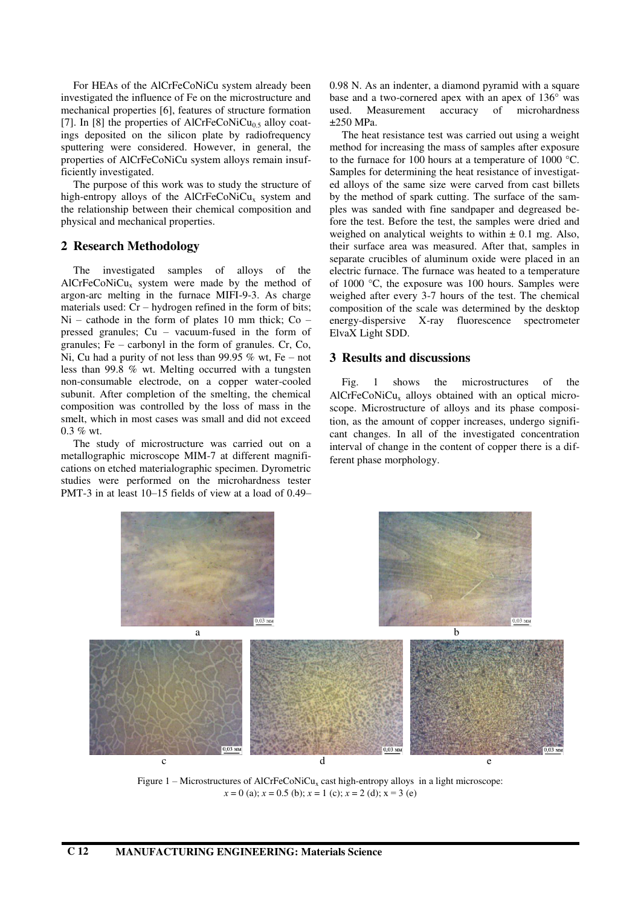For HEAs of the AlCrFeCoNiCu system already been investigated the influence of Fe on the microstructure and mechanical properties [6], features of structure formation [7]. In [8] the properties of AlCrFeCoNiCu<sub>0.5</sub> alloy coatings deposited on the silicon plate by radiofrequency sputtering were considered. However, in general, the properties of AlCrFeCoNiCu system alloys remain insufficiently investigated.

The purpose of this work was to study the structure of high-entropy alloys of the AlCrFeCoNiCu<sub>y</sub> system and the relationship between their chemical composition and physical and mechanical properties.

# **2 Research Methodology**

The investigated samples of alloys of the AlCrFeCoNiCu<sub>x</sub> system were made by the method of argon-arc melting in the furnace MIFI-9-3. As charge materials used:  $Cr - hydrogen$  refined in the form of bits;  $Ni - cathode$  in the form of plates 10 mm thick; Co – pressed granules; Cu – vacuum-fused in the form of granules; Fe – carbonyl in the form of granules. Cr, Co, Ni, Cu had a purity of not less than 99.95 % wt, Fe – not less than 99.8 % wt. Melting occurred with a tungsten non-consumable electrode, on a copper water-cooled subunit. After completion of the smelting, the chemical composition was controlled by the loss of mass in the smelt, which in most cases was small and did not exceed 0.3 % wt.

The study of microstructure was carried out on a metallographic microscope MIM-7 at different magnifications on etched materialographic specimen. Dyrometric studies were performed on the microhardness tester PMT-3 in at least 10–15 fields of view at a load of 0.49– 0.98 N. As an indenter, a diamond pyramid with a square base and a two-cornered apex with an apex of 136° was used. Measurement accuracy of microhardness ±250 MPa.

The heat resistance test was carried out using a weight method for increasing the mass of samples after exposure to the furnace for 100 hours at a temperature of 1000 °C. Samples for determining the heat resistance of investigated alloys of the same size were carved from cast billets by the method of spark cutting. The surface of the samples was sanded with fine sandpaper and degreased before the test. Before the test, the samples were dried and weighed on analytical weights to within  $\pm$  0.1 mg. Also, their surface area was measured. After that, samples in separate crucibles of aluminum oxide were placed in an electric furnace. The furnace was heated to a temperature of 1000 °C, the exposure was 100 hours. Samples were weighed after every 3-7 hours of the test. The chemical composition of the scale was determined by the desktop energy-dispersive X-ray fluorescence spectrometer ElvaX Light SDD.

### **3 Results and discussions**

Fig. 1 shows the microstructures of the AlCrFeCoNiCux alloys obtained with an optical microscope. Microstructure of alloys and its phase composition, as the amount of copper increases, undergo significant changes. In all of the investigated concentration interval of change in the content of copper there is a different phase morphology.



Figure  $1$  – Microstructures of AlCrFeCoNiCu<sub>x</sub> cast high-entropy alloys in a light microscope:  $x = 0$  (a);  $x = 0.5$  (b);  $x = 1$  (c);  $x = 2$  (d);  $x = 3$  (e)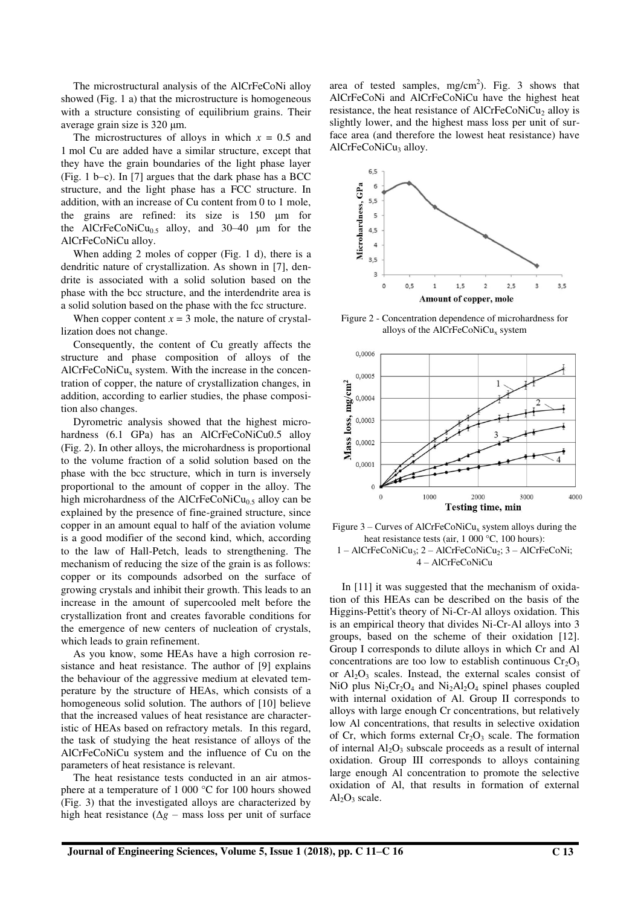The microstructural analysis of the AlCrFeCoNi alloy showed (Fig. 1 a) that the microstructure is homogeneous with a structure consisting of equilibrium grains. Their average grain size is 320 μm.

The microstructures of alloys in which  $x = 0.5$  and 1 mol Cu are added have a similar structure, except that they have the grain boundaries of the light phase layer (Fig. 1 b–c). In [7] argues that the dark phase has a BCC structure, and the light phase has a FCC structure. In addition, with an increase of Cu content from 0 to 1 mole, the grains are refined: its size is 150 μm for the AlCrFeCoNiCu<sub>0.5</sub> alloy, and 30-40  $\mu$ m for the AlCrFeCoNiCu alloy.

When adding 2 moles of copper (Fig. 1 d), there is a dendritic nature of crystallization. As shown in [7], dendrite is associated with a solid solution based on the phase with the bcc structure, and the interdendrite area is a solid solution based on the phase with the fcc structure.

When copper content  $x = 3$  mole, the nature of crystallization does not change.

Consequently, the content of Cu greatly affects the structure and phase composition of alloys of the  $AICrFeCoNiCu<sub>x</sub>$  system. With the increase in the concentration of copper, the nature of crystallization changes, in addition, according to earlier studies, the phase composition also changes.

Dyrometric analysis showed that the highest microhardness (6.1 GPa) has an AlCrFeCoNiCu0.5 alloy (Fig. 2). In other alloys, the microhardness is proportional to the volume fraction of a solid solution based on the phase with the bcc structure, which in turn is inversely proportional to the amount of copper in the alloy. The high microhardness of the AlCrFeCoNiCu $_{0.5}$  alloy can be explained by the presence of fine-grained structure, since copper in an amount equal to half of the aviation volume is a good modifier of the second kind, which, according to the law of Hall-Petch, leads to strengthening. The mechanism of reducing the size of the grain is as follows: copper or its compounds adsorbed on the surface of growing crystals and inhibit their growth. This leads to an increase in the amount of supercooled melt before the crystallization front and creates favorable conditions for the emergence of new centers of nucleation of crystals, which leads to grain refinement.

As you know, some HEAs have a high corrosion resistance and heat resistance. The author of [9] explains the behaviour of the aggressive medium at elevated temperature by the structure of HEAs, which consists of a homogeneous solid solution. The authors of [10] believe that the increased values of heat resistance are characteristic of HEAs based on refractory metals. In this regard, the task of studying the heat resistance of alloys of the AlCrFeCoNiCu system and the influence of Cu on the parameters of heat resistance is relevant.

The heat resistance tests conducted in an air atmosphere at a temperature of 1 000 °C for 100 hours showed (Fig. 3) that the investigated alloys are characterized by high heat resistance  $(\Delta g - \text{mass loss per unit of surface})$ 

area of tested samples,  $mg/cm<sup>2</sup>$ ). Fig. 3 shows that AlCrFeCoNi and AlCrFeCoNiCu have the highest heat resistance, the heat resistance of  $AICrFeCoNiCu<sub>2</sub>$  alloy is slightly lower, and the highest mass loss per unit of surface area (and therefore the lowest heat resistance) have AlCrFeCoNiCu<sub>3</sub> alloy.



Figure 2 - Concentration dependence of microhardness for alloys of the AlCrFeCoNiCu<sub>x</sub> system



Figure  $3$  – Curves of AlCrFeCoNiCu<sub>x</sub> system alloys during the heat resistance tests (air, 1 000 °C, 100 hours): 1 – AlCrFeCoNiCu<sub>3</sub>; 2 – AlCrFeCoNiCu<sub>2</sub>; 3 – AlCrFeCoNi; 4 – AlCrFeCoNiCu

In [11] it was suggested that the mechanism of oxidation of this HEAs can be described on the basis of the Higgins-Pettit's theory of Ni-Cr-Al alloys oxidation. This is an empirical theory that divides Ni-Cr-Al alloys into 3 groups, based on the scheme of their oxidation [12]. Group I corresponds to dilute alloys in which Cr and Al concentrations are too low to establish continuous  $Cr_2O_3$ or  $Al_2O_3$  scales. Instead, the external scales consist of NiO plus  $Ni<sub>2</sub>Cr<sub>2</sub>O<sub>4</sub>$  and  $Ni<sub>2</sub>Al<sub>2</sub>O<sub>4</sub>$  spinel phases coupled with internal oxidation of Al. Group II corresponds to alloys with large enough Cr concentrations, but relatively low Al concentrations, that results in selective oxidation of Cr, which forms external  $Cr_2O_3$  scale. The formation of internal  $Al_2O_3$  subscale proceeds as a result of internal oxidation. Group III corresponds to alloys containing large enough Al concentration to promote the selective oxidation of Al, that results in formation of external  $Al_2O_3$  scale.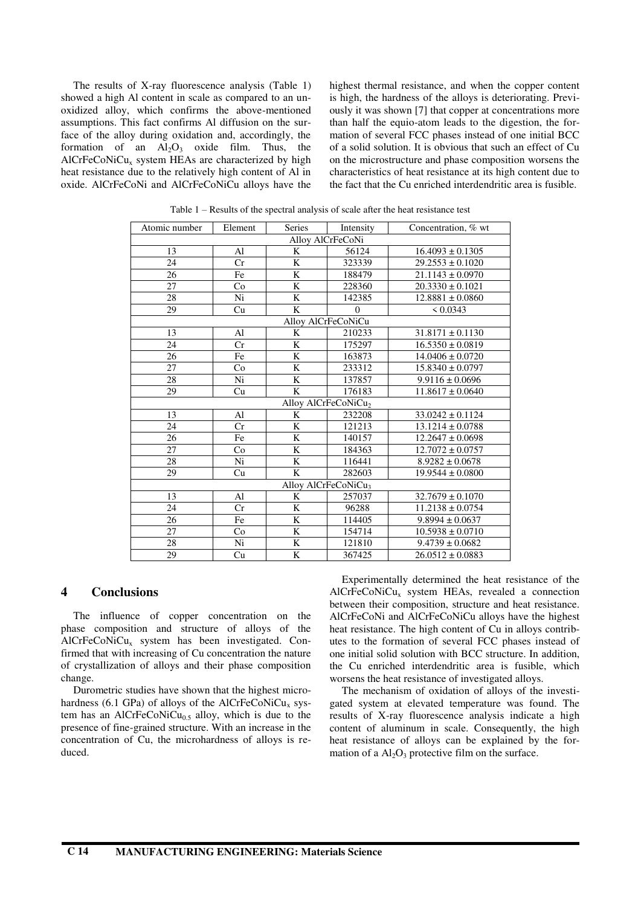The results of X-ray fluorescence analysis (Table 1) showed a high Al content in scale as compared to an unoxidized alloy, which confirms the above-mentioned assumptions. This fact confirms Al diffusion on the surface of the alloy during oxidation and, accordingly, the formation of an  $Al_2O_3$  oxide film. Thus, the AlCrFeCoNiCux system HEAs are characterized by high heat resistance due to the relatively high content of Al in oxide. AlCrFeCoNi and AlCrFeCoNiCu alloys have the highest thermal resistance, and when the copper content is high, the hardness of the alloys is deteriorating. Previously it was shown [7] that copper at concentrations more than half the equio-atom leads to the digestion, the formation of several FCC phases instead of one initial BCC of a solid solution. It is obvious that such an effect of Cu on the microstructure and phase composition worsens the characteristics of heat resistance at its high content due to the fact that the Cu enriched interdendritic area is fusible.

| Atomic number                   | Element | <b>Series</b>           | Intensity      | Concentration, % wt  |
|---------------------------------|---------|-------------------------|----------------|----------------------|
| Alloy AlCrFeCoNi                |         |                         |                |                      |
| 13                              | Al      | K                       | 56124          | $16.4093 \pm 0.1305$ |
| 24                              | Cr      | K                       | 323339         | $29.2553 \pm 0.1020$ |
| 26                              | Fe      | K                       | 188479         | $21.1143 \pm 0.0970$ |
| 27                              | Co      | $\bf K$                 | 228360         | $20.3330 \pm 0.1021$ |
| 28                              | Ni      | K                       | 142385         | $12.8881 \pm 0.0860$ |
| 29                              | Cu      | K                       | $\overline{0}$ | < 0.0343             |
| Alloy AlCrFeCoNiCu              |         |                         |                |                      |
| 13                              | Al      | K                       | 210233         | $31.8171 \pm 0.1130$ |
| 24                              | Cr      | K                       | 175297         | $16.5350 \pm 0.0819$ |
| 26                              | Fe      | K                       | 163873         | $14.0406 \pm 0.0720$ |
| 27                              | Co      | $\overline{\mathbf{K}}$ | 233312         | $15.8340 \pm 0.0797$ |
| 28                              | Ni      | K                       | 137857         | $9.9116 \pm 0.0696$  |
| 29                              | Cu      | K                       | 176183         | $11.8617 \pm 0.0640$ |
| Allov AlCrFeCoNiCu <sub>2</sub> |         |                         |                |                      |
| 13                              | Al      | K                       | 232208         | $33.0242 \pm 0.1124$ |
| 24                              | Cr      | K                       | 121213         | $13.1214 \pm 0.0788$ |
| 26                              | Fe      | $\overline{\mathbf{K}}$ | 140157         | $12.2647 \pm 0.0698$ |
| 27                              | Co      | K                       | 184363         | $12.7072 \pm 0.0757$ |
| 28                              | Ni      | K                       | 116441         | $8.9282 \pm 0.0678$  |
| 29                              | Cu      | $\mathbf K$             | 282603         | $19.9544 \pm 0.0800$ |
| Alloy AlCrFeCoNiCu <sub>3</sub> |         |                         |                |                      |
| 13                              | AI      | K                       | 257037         | $32.7679 \pm 0.1070$ |
| 24                              | Cr      | $\bf K$                 | 96288          | $11.2138 \pm 0.0754$ |
| 26                              | Fe      | K                       | 114405         | $9.8994 \pm 0.0637$  |
| 27                              | Co      | K                       | 154714         | $10.5938 \pm 0.0710$ |
| 28                              | Ni      | K                       | 121810         | $9.4739 \pm 0.0682$  |
| 29                              | Cu      | K                       | 367425         | $26.0512 \pm 0.0883$ |

Table 1 – Results of the spectral analysis of scale after the heat resistance test

#### **4 Conclusions**

The influence of copper concentration on the phase composition and structure of alloys of the AlCrFeCoNiCux system has been investigated. Confirmed that with increasing of Cu concentration the nature of crystallization of alloys and their phase composition change.

Durometric studies have shown that the highest microhardness (6.1 GPa) of alloys of the AlCrFeCoNiCu<sub>x</sub> system has an AlCrFeCoNiCu<sub>0.5</sub> alloy, which is due to the presence of fine-grained structure. With an increase in the concentration of Cu, the microhardness of alloys is reduced.

Experimentally determined the heat resistance of the AlCrFeCoNiCux system HEAs, revealed a connection between their composition, structure and heat resistance. AlCrFeCoNi and AlCrFeCoNiCu alloys have the highest heat resistance. The high content of Cu in alloys contributes to the formation of several FCC phases instead of one initial solid solution with BCC structure. In addition, the Cu enriched interdendritic area is fusible, which worsens the heat resistance of investigated alloys.

The mechanism of oxidation of alloys of the investigated system at elevated temperature was found. The results of X-ray fluorescence analysis indicate a high content of aluminum in scale. Consequently, the high heat resistance of alloys can be explained by the formation of a  $Al_2O_3$  protective film on the surface.